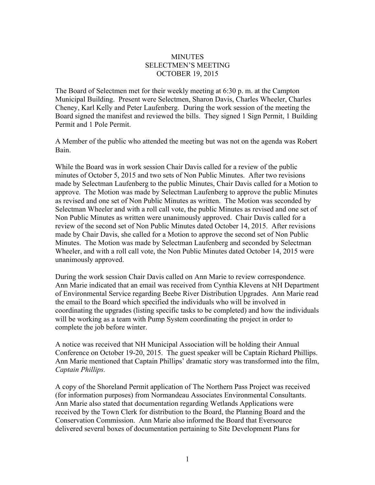## **MINUTES** SELECTMEN'S MEETING OCTOBER 19, 2015

The Board of Selectmen met for their weekly meeting at 6:30 p. m. at the Campton Municipal Building. Present were Selectmen, Sharon Davis, Charles Wheeler, Charles Cheney, Karl Kelly and Peter Laufenberg. During the work session of the meeting the Board signed the manifest and reviewed the bills. They signed 1 Sign Permit, 1 Building Permit and 1 Pole Permit.

A Member of the public who attended the meeting but was not on the agenda was Robert Bain.

While the Board was in work session Chair Davis called for a review of the public minutes of October 5, 2015 and two sets of Non Public Minutes. After two revisions made by Selectman Laufenberg to the public Minutes, Chair Davis called for a Motion to approve. The Motion was made by Selectman Laufenberg to approve the public Minutes as revised and one set of Non Public Minutes as written. The Motion was seconded by Selectman Wheeler and with a roll call vote, the public Minutes as revised and one set of Non Public Minutes as written were unanimously approved. Chair Davis called for a review of the second set of Non Public Minutes dated October 14, 2015. After revisions made by Chair Davis, she called for a Motion to approve the second set of Non Public Minutes. The Motion was made by Selectman Laufenberg and seconded by Selectman Wheeler, and with a roll call vote, the Non Public Minutes dated October 14, 2015 were unanimously approved.

During the work session Chair Davis called on Ann Marie to review correspondence. Ann Marie indicated that an email was received from Cynthia Klevens at NH Department of Environmental Service regarding Beebe River Distribution Upgrades. Ann Marie read the email to the Board which specified the individuals who will be involved in coordinating the upgrades (listing specific tasks to be completed) and how the individuals will be working as a team with Pump System coordinating the project in order to complete the job before winter.

A notice was received that NH Municipal Association will be holding their Annual Conference on October 19-20, 2015. The guest speaker will be Captain Richard Phillips. Ann Marie mentioned that Captain Phillips' dramatic story was transformed into the film, *Captain Phillips.*

A copy of the Shoreland Permit application of The Northern Pass Project was received (for information purposes) from Normandeau Associates Environmental Consultants. Ann Marie also stated that documentation regarding Wetlands Applications were received by the Town Clerk for distribution to the Board, the Planning Board and the Conservation Commission. Ann Marie also informed the Board that Eversource delivered several boxes of documentation pertaining to Site Development Plans for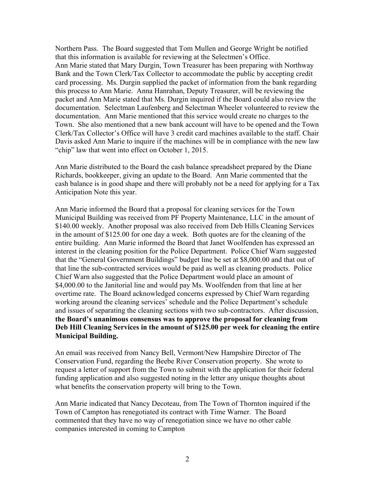Northern Pass. The Board suggested that Tom Mullen and George Wright be notified that this information is available for reviewing at the Selectmen's Office. Ann Marie stated that Mary Durgin, Town Treasurer has been preparing with Northway Bank and the Town Clerk/Tax Collector to accommodate the public by accepting credit card processing. Ms. Durgin supplied the packet of information from the bank regarding this process to Ann Marie. Anna Hanrahan, Deputy Treasurer, will be reviewing the packet and Ann Marie stated that Ms. Durgin inquired if the Board could also review the documentation. Selectman Laufenberg and Selectman Wheeler volunteered to review the documentation. Ann Marie mentioned that this service would create no charges to the Town. She also mentioned that a new bank account will have to be opened and the Town Clerk/Tax Collector's Office will have 3 credit card machines available to the staff. Chair Davis asked Ann Marie to inquire if the machines will be in compliance with the new law "chip" law that went into effect on October 1, 2015.

Ann Marie distributed to the Board the cash balance spreadsheet prepared by the Diane Richards, bookkeeper, giving an update to the Board. Ann Marie commented that the cash balance is in good shape and there will probably not be a need for applying for a Tax Anticipation Note this year.

Ann Marie informed the Board that a proposal for cleaning services for the Town Municipal Building was received from PF Property Maintenance, LLC in the amount of \$140.00 weekly. Another proposal was also received from Deb Hills Cleaning Services in the amount of \$125.00 for one day a week. Both quotes are for the cleaning of the entire building. Ann Marie informed the Board that Janet Woolfenden has expressed an interest in the cleaning position for the Police Department. Police Chief Warn suggested that the "General Government Buildings" budget line be set at \$8,000.00 and that out of that line the sub-contracted services would be paid as well as cleaning products. Police Chief Warn also suggested that the Police Department would place an amount of \$4,000.00 to the Janitorial line and would pay Ms. Woolfenden from that line at her overtime rate. The Board acknowledged concerns expressed by Chief Warn regarding working around the cleaning services' schedule and the Police Department's schedule and issues of separating the cleaning sections with two sub-contractors. After discussion, **the Board's unanimous consensus was to approve the proposal for cleaning from Deb Hill Cleaning Services in the amount of \$125.00 per week for cleaning the entire Municipal Building.**

An email was received from Nancy Bell, Vermont/New Hampshire Director of The Conservation Fund, regarding the Beebe River Conservation property. She wrote to request a letter of support from the Town to submit with the application for their federal funding application and also suggested noting in the letter any unique thoughts about what benefits the conservation property will bring to the Town.

Ann Marie indicated that Nancy Decoteau, from The Town of Thornton inquired if the Town of Campton has renegotiated its contract with Time Warner. The Board commented that they have no way of renegotiation since we have no other cable companies interested in coming to Campton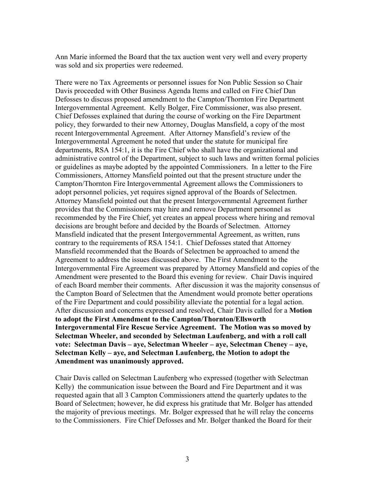Ann Marie informed the Board that the tax auction went very well and every property was sold and six properties were redeemed.

There were no Tax Agreements or personnel issues for Non Public Session so Chair Davis proceeded with Other Business Agenda Items and called on Fire Chief Dan Defosses to discuss proposed amendment to the Campton/Thornton Fire Department Intergovernmental Agreement. Kelly Bolger, Fire Commissioner, was also present. Chief Defosses explained that during the course of working on the Fire Department policy, they forwarded to their new Attorney, Douglas Mansfield, a copy of the most recent Intergovernmental Agreement. After Attorney Mansfield's review of the Intergovernmental Agreement he noted that under the statute for municipal fire departments, RSA 154:1, it is the Fire Chief who shall have the organizational and administrative control of the Department, subject to such laws and written formal policies or guidelines as maybe adopted by the appointed Commissioners. In a letter to the Fire Commissioners, Attorney Mansfield pointed out that the present structure under the Campton/Thornton Fire Intergovernmental Agreement allows the Commissioners to adopt personnel policies, yet requires signed approval of the Boards of Selectmen. Attorney Mansfield pointed out that the present Intergovernmental Agreement further provides that the Commissioners may hire and remove Department personnel as recommended by the Fire Chief, yet creates an appeal process where hiring and removal decisions are brought before and decided by the Boards of Selectmen. Attorney Mansfield indicated that the present Intergovernmental Agreement, as written, runs contrary to the requirements of RSA 154:1. Chief Defosses stated that Attorney Mansfield recommended that the Boards of Selectmen be approached to amend the Agreement to address the issues discussed above. The First Amendment to the Intergovernmental Fire Agreement was prepared by Attorney Mansfield and copies of the Amendment were presented to the Board this evening for review. Chair Davis inquired of each Board member their comments. After discussion it was the majority consensus of the Campton Board of Selectmen that the Amendment would promote better operations of the Fire Department and could possibility alleviate the potential for a legal action. After discussion and concerns expressed and resolved, Chair Davis called for a **Motion to adopt the First Amendment to the Campton/Thornton/Ellsworth Intergovernmental Fire Rescue Service Agreement. The Motion was so moved by Selectman Wheeler, and seconded by Selectman Laufenberg, and with a roll call vote: Selectman Davis – aye, Selectman Wheeler – aye, Selectman Cheney – aye, Selectman Kelly – aye, and Selectman Laufenberg, the Motion to adopt the Amendment was unanimously approved.** 

Chair Davis called on Selectman Laufenberg who expressed (together with Selectman Kelly) the communication issue between the Board and Fire Department and it was requested again that all 3 Campton Commissioners attend the quarterly updates to the Board of Selectmen; however, he did express his gratitude that Mr. Bolger has attended the majority of previous meetings. Mr. Bolger expressed that he will relay the concerns to the Commissioners. Fire Chief Defosses and Mr. Bolger thanked the Board for their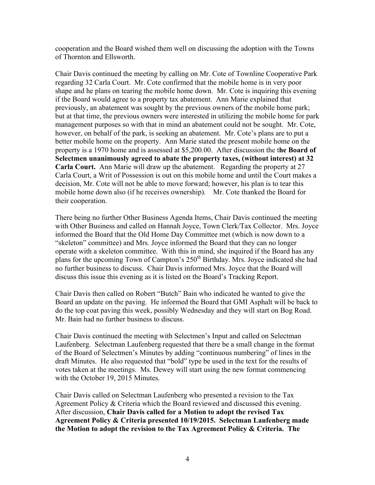cooperation and the Board wished them well on discussing the adoption with the Towns of Thornton and Ellsworth.

Chair Davis continued the meeting by calling on Mr. Cote of Townline Cooperative Park regarding 32 Carla Court. Mr. Cote confirmed that the mobile home is in very poor shape and he plans on tearing the mobile home down. Mr. Cote is inquiring this evening if the Board would agree to a property tax abatement. Ann Marie explained that previously, an abatement was sought by the previous owners of the mobile home park; but at that time, the previous owners were interested in utilizing the mobile home for park management purposes so with that in mind an abatement could not be sought. Mr. Cote, however, on behalf of the park, is seeking an abatement. Mr. Cote's plans are to put a better mobile home on the property. Ann Marie stated the present mobile home on the property is a 1970 home and is assessed at \$5,200.00. After discussion the t**he Board of Selectmen unanimously agreed to abate the property taxes, (without interest) at 32 Carla Court.** Ann Marie will draw up the abatement. Regarding the property at 27 Carla Court, a Writ of Possession is out on this mobile home and until the Court makes a decision, Mr. Cote will not be able to move forward; however, his plan is to tear this mobile home down also (if he receives ownership). Mr. Cote thanked the Board for their cooperation.

There being no further Other Business Agenda Items, Chair Davis continued the meeting with Other Business and called on Hannah Joyce, Town Clerk/Tax Collector. Mrs. Joyce informed the Board that the Old Home Day Committee met (which is now down to a "skeleton" committee) and Mrs. Joyce informed the Board that they can no longer operate with a skeleton committee. With this in mind, she inquired if the Board has any plans for the upcoming Town of Campton's  $250<sup>th</sup>$  Birthday. Mrs. Joyce indicated she had no further business to discuss. Chair Davis informed Mrs. Joyce that the Board will discuss this issue this evening as it is listed on the Board's Tracking Report.

Chair Davis then called on Robert "Butch" Bain who indicated he wanted to give the Board an update on the paving. He informed the Board that GMI Asphalt will be back to do the top coat paving this week, possibly Wednesday and they will start on Bog Road. Mr. Bain had no further business to discuss.

Chair Davis continued the meeting with Selectmen's Input and called on Selectman Laufenberg. Selectman Laufenberg requested that there be a small change in the format of the Board of Selectmen's Minutes by adding "continuous numbering" of lines in the draft Minutes. He also requested that "bold" type be used in the text for the results of votes taken at the meetings. Ms. Dewey will start using the new format commencing with the October 19, 2015 Minutes.

Chair Davis called on Selectman Laufenberg who presented a revision to the Tax Agreement Policy & Criteria which the Board reviewed and discussed this evening. After discussion, **Chair Davis called for a Motion to adopt the revised Tax Agreement Policy & Criteria presented 10/19/2015. Selectman Laufenberg made the Motion to adopt the revision to the Tax Agreement Policy & Criteria. The**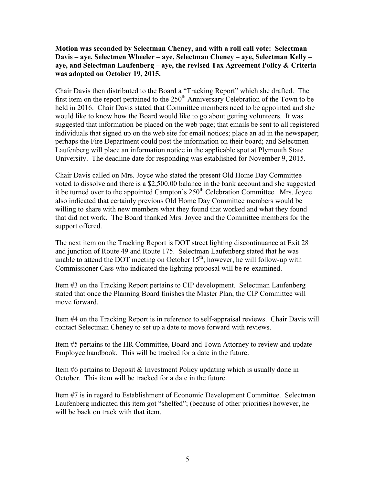## **Motion was seconded by Selectman Cheney, and with a roll call vote: Selectman Davis – aye, Selectmen Wheeler – aye, Selectman Cheney – aye, Selectman Kelly – aye, and Selectman Laufenberg – aye, the revised Tax Agreement Policy & Criteria was adopted on October 19, 2015.**

Chair Davis then distributed to the Board a "Tracking Report" which she drafted. The first item on the report pertained to the  $250<sup>th</sup>$  Anniversary Celebration of the Town to be held in 2016. Chair Davis stated that Committee members need to be appointed and she would like to know how the Board would like to go about getting volunteers. It was suggested that information be placed on the web page; that emails be sent to all registered individuals that signed up on the web site for email notices; place an ad in the newspaper; perhaps the Fire Department could post the information on their board; and Selectmen Laufenberg will place an information notice in the applicable spot at Plymouth State University. The deadline date for responding was established for November 9, 2015.

Chair Davis called on Mrs. Joyce who stated the present Old Home Day Committee voted to dissolve and there is a \$2,500.00 balance in the bank account and she suggested it be turned over to the appointed Campton's  $250<sup>th</sup>$  Celebration Committee. Mrs. Joyce also indicated that certainly previous Old Home Day Committee members would be willing to share with new members what they found that worked and what they found that did not work. The Board thanked Mrs. Joyce and the Committee members for the support offered.

The next item on the Tracking Report is DOT street lighting discontinuance at Exit 28 and junction of Route 49 and Route 175. Selectman Laufenberg stated that he was unable to attend the DOT meeting on October  $15<sup>th</sup>$ ; however, he will follow-up with Commissioner Cass who indicated the lighting proposal will be re-examined.

Item #3 on the Tracking Report pertains to CIP development. Selectman Laufenberg stated that once the Planning Board finishes the Master Plan, the CIP Committee will move forward.

Item #4 on the Tracking Report is in reference to self-appraisal reviews. Chair Davis will contact Selectman Cheney to set up a date to move forward with reviews.

Item #5 pertains to the HR Committee, Board and Town Attorney to review and update Employee handbook. This will be tracked for a date in the future.

Item #6 pertains to Deposit & Investment Policy updating which is usually done in October. This item will be tracked for a date in the future.

Item #7 is in regard to Establishment of Economic Development Committee. Selectman Laufenberg indicated this item got "shelfed"; (because of other priorities) however, he will be back on track with that item.